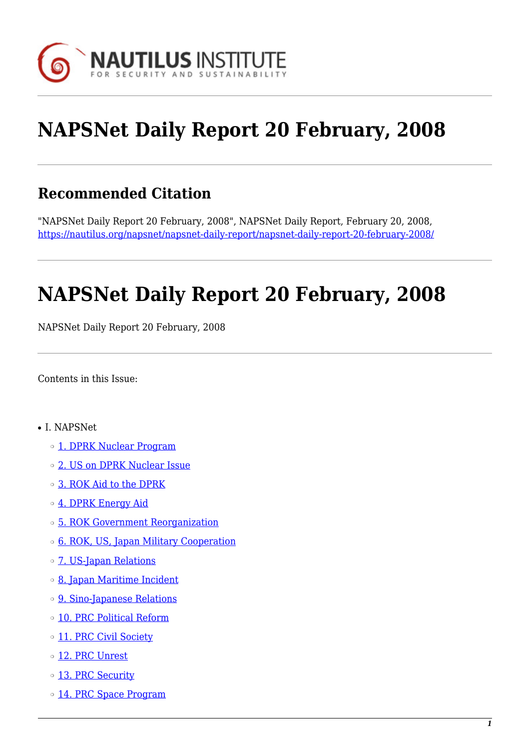

# **NAPSNet Daily Report 20 February, 2008**

# **Recommended Citation**

"NAPSNet Daily Report 20 February, 2008", NAPSNet Daily Report, February 20, 2008, <https://nautilus.org/napsnet/napsnet-daily-report/napsnet-daily-report-20-february-2008/>

# **NAPSNet Daily Report 20 February, 2008**

NAPSNet Daily Report 20 February, 2008

<span id="page-0-0"></span>Contents in this Issue:

- I. NAPSNet
	- o [1. DPRK Nuclear Program](#page-1-0)
	- ❍ [2. US on DPRK Nuclear Issue](#page-1-1)
	- ❍ [3. ROK Aid to the DPRK](#page-2-0)
	- ❍ [4. DPRK Energy Aid](#page-2-1)
	- ❍ [5. ROK Government Reorganization](#page-2-2)
	- ❍ [6. ROK, US, Japan Military Cooperation](#page-2-3)
	- ❍ [7. US-Japan Relations](#page-3-0)
	- ❍ [8. Japan Maritime Incident](#page-3-1)
	- ❍ [9. Sino-Japanese Relations](#page-4-0)
	- ❍ [10. PRC Political Reform](#page-4-1)
	- o [11. PRC Civil Society](#page-4-2)
	- o [12. PRC Unrest](#page-4-3)
	- o [13. PRC Security](#page-5-0)
	- o [14. PRC Space Program](#page-5-1)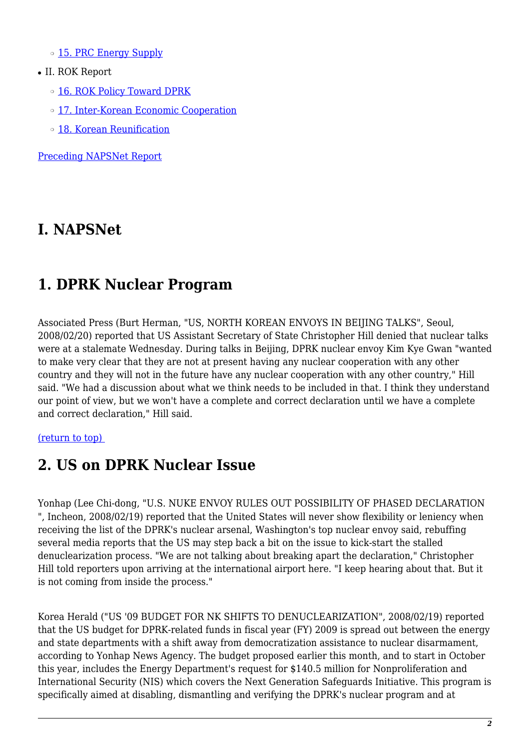o [15. PRC Energy Supply](#page-5-2)

- II. ROK Report
	- o [16. ROK Policy Toward DPRK](#page-6-0)
	- ❍ [17. Inter-Korean Economic Cooperation](#page-6-1)
	- ❍ [18. Korean Reunification](#page-6-2)

[Preceding NAPSNet Report](https://nautilus.org/mailing-lists/napsnet/dr/2008-2/napsnet-daily-report-19-february-2008/)

### **I. NAPSNet**

### <span id="page-1-0"></span>**1. DPRK Nuclear Program**

Associated Press (Burt Herman, "US, NORTH KOREAN ENVOYS IN BEIJING TALKS", Seoul, 2008/02/20) reported that US Assistant Secretary of State Christopher Hill denied that nuclear talks were at a stalemate Wednesday. During talks in Beijing, DPRK nuclear envoy Kim Kye Gwan "wanted to make very clear that they are not at present having any nuclear cooperation with any other country and they will not in the future have any nuclear cooperation with any other country," Hill said. "We had a discussion about what we think needs to be included in that. I think they understand our point of view, but we won't have a complete and correct declaration until we have a complete and correct declaration," Hill said.

#### <span id="page-1-1"></span>[\(return to top\)](#page-0-0)

# **2. US on DPRK Nuclear Issue**

Yonhap (Lee Chi-dong, "U.S. NUKE ENVOY RULES OUT POSSIBILITY OF PHASED DECLARATION ", Incheon, 2008/02/19) reported that the United States will never show flexibility or leniency when receiving the list of the DPRK's nuclear arsenal, Washington's top nuclear envoy said, rebuffing several media reports that the US may step back a bit on the issue to kick-start the stalled denuclearization process. "We are not talking about breaking apart the declaration," Christopher Hill told reporters upon arriving at the international airport here. "I keep hearing about that. But it is not coming from inside the process."

Korea Herald ("US '09 BUDGET FOR NK SHIFTS TO DENUCLEARIZATION", 2008/02/19) reported that the US budget for DPRK-related funds in fiscal year (FY) 2009 is spread out between the energy and state departments with a shift away from democratization assistance to nuclear disarmament, according to Yonhap News Agency. The budget proposed earlier this month, and to start in October this year, includes the Energy Department's request for \$140.5 million for Nonproliferation and International Security (NIS) which covers the Next Generation Safeguards Initiative. This program is specifically aimed at disabling, dismantling and verifying the DPRK's nuclear program and at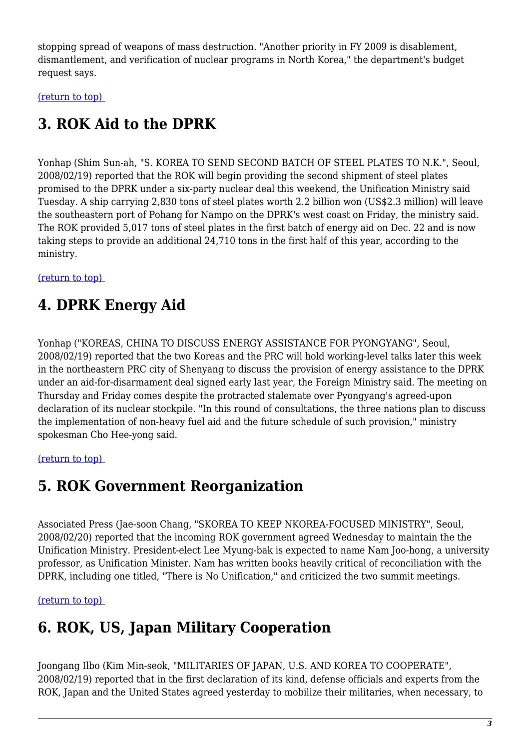stopping spread of weapons of mass destruction. "Another priority in FY 2009 is disablement, dismantlement, and verification of nuclear programs in North Korea," the department's budget request says.

<span id="page-2-0"></span>[\(return to top\)](#page-0-0) 

# **3. ROK Aid to the DPRK**

Yonhap (Shim Sun-ah, "S. KOREA TO SEND SECOND BATCH OF STEEL PLATES TO N.K.", Seoul, 2008/02/19) reported that the ROK will begin providing the second shipment of steel plates promised to the DPRK under a six-party nuclear deal this weekend, the Unification Ministry said Tuesday. A ship carrying 2,830 tons of steel plates worth 2.2 billion won (US\$2.3 million) will leave the southeastern port of Pohang for Nampo on the DPRK's west coast on Friday, the ministry said. The ROK provided 5,017 tons of steel plates in the first batch of energy aid on Dec. 22 and is now taking steps to provide an additional 24,710 tons in the first half of this year, according to the ministry.

<span id="page-2-1"></span>[\(return to top\)](#page-0-0) 

# **4. DPRK Energy Aid**

Yonhap ("KOREAS, CHINA TO DISCUSS ENERGY ASSISTANCE FOR PYONGYANG", Seoul, 2008/02/19) reported that the two Koreas and the PRC will hold working-level talks later this week in the northeastern PRC city of Shenyang to discuss the provision of energy assistance to the DPRK under an aid-for-disarmament deal signed early last year, the Foreign Ministry said. The meeting on Thursday and Friday comes despite the protracted stalemate over Pyongyang's agreed-upon declaration of its nuclear stockpile. "In this round of consultations, the three nations plan to discuss the implementation of non-heavy fuel aid and the future schedule of such provision," ministry spokesman Cho Hee-yong said.

#### <span id="page-2-2"></span>[\(return to top\)](#page-0-0)

# **5. ROK Government Reorganization**

Associated Press (Jae-soon Chang, "SKOREA TO KEEP NKOREA-FOCUSED MINISTRY", Seoul, 2008/02/20) reported that the incoming ROK government agreed Wednesday to maintain the the Unification Ministry. President-elect Lee Myung-bak is expected to name Nam Joo-hong, a university professor, as Unification Minister. Nam has written books heavily critical of reconciliation with the DPRK, including one titled, "There is No Unification," and criticized the two summit meetings.

<span id="page-2-3"></span>[\(return to top\)](#page-0-0) 

# **6. ROK, US, Japan Military Cooperation**

Joongang Ilbo (Kim Min-seok, "MILITARIES OF JAPAN, U.S. AND KOREA TO COOPERATE", 2008/02/19) reported that in the first declaration of its kind, defense officials and experts from the ROK, Japan and the United States agreed yesterday to mobilize their militaries, when necessary, to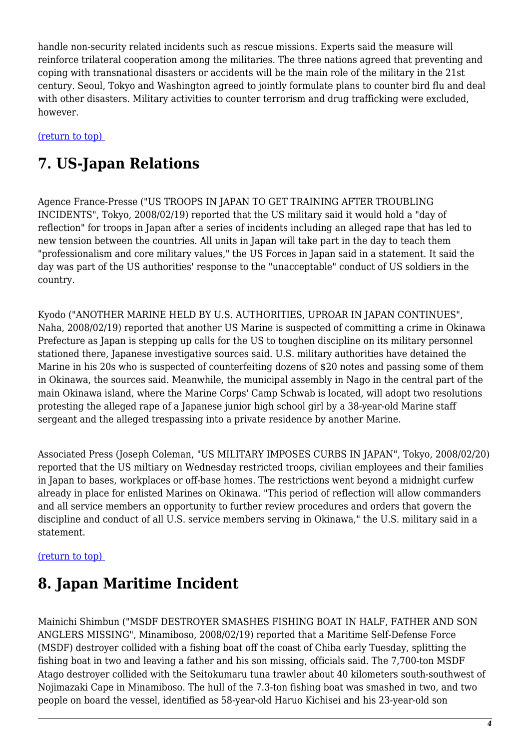handle non-security related incidents such as rescue missions. Experts said the measure will reinforce trilateral cooperation among the militaries. The three nations agreed that preventing and coping with transnational disasters or accidents will be the main role of the military in the 21st century. Seoul, Tokyo and Washington agreed to jointly formulate plans to counter bird flu and deal with other disasters. Military activities to counter terrorism and drug trafficking were excluded, however.

<span id="page-3-0"></span>[\(return to top\)](#page-0-0) 

# **7. US-Japan Relations**

Agence France-Presse ("US TROOPS IN JAPAN TO GET TRAINING AFTER TROUBLING INCIDENTS", Tokyo, 2008/02/19) reported that the US military said it would hold a "day of reflection" for troops in Japan after a series of incidents including an alleged rape that has led to new tension between the countries. All units in Japan will take part in the day to teach them "professionalism and core military values," the US Forces in Japan said in a statement. It said the day was part of the US authorities' response to the "unacceptable" conduct of US soldiers in the country.

Kyodo ("ANOTHER MARINE HELD BY U.S. AUTHORITIES, UPROAR IN JAPAN CONTINUES", Naha, 2008/02/19) reported that another US Marine is suspected of committing a crime in Okinawa Prefecture as Japan is stepping up calls for the US to toughen discipline on its military personnel stationed there, Japanese investigative sources said. U.S. military authorities have detained the Marine in his 20s who is suspected of counterfeiting dozens of \$20 notes and passing some of them in Okinawa, the sources said. Meanwhile, the municipal assembly in Nago in the central part of the main Okinawa island, where the Marine Corps' Camp Schwab is located, will adopt two resolutions protesting the alleged rape of a Japanese junior high school girl by a 38-year-old Marine staff sergeant and the alleged trespassing into a private residence by another Marine.

Associated Press (Joseph Coleman, "US MILITARY IMPOSES CURBS IN JAPAN", Tokyo, 2008/02/20) reported that the US miltiary on Wednesday restricted troops, civilian employees and their families in Japan to bases, workplaces or off-base homes. The restrictions went beyond a midnight curfew already in place for enlisted Marines on Okinawa. "This period of reflection will allow commanders and all service members an opportunity to further review procedures and orders that govern the discipline and conduct of all U.S. service members serving in Okinawa," the U.S. military said in a statement.

#### <span id="page-3-1"></span>[\(return to top\)](#page-0-0)

### **8. Japan Maritime Incident**

Mainichi Shimbun ("MSDF DESTROYER SMASHES FISHING BOAT IN HALF, FATHER AND SON ANGLERS MISSING", Minamiboso, 2008/02/19) reported that a Maritime Self-Defense Force (MSDF) destroyer collided with a fishing boat off the coast of Chiba early Tuesday, splitting the fishing boat in two and leaving a father and his son missing, officials said. The 7,700-ton MSDF Atago destroyer collided with the Seitokumaru tuna trawler about 40 kilometers south-southwest of Nojimazaki Cape in Minamiboso. The hull of the 7.3-ton fishing boat was smashed in two, and two people on board the vessel, identified as 58-year-old Haruo Kichisei and his 23-year-old son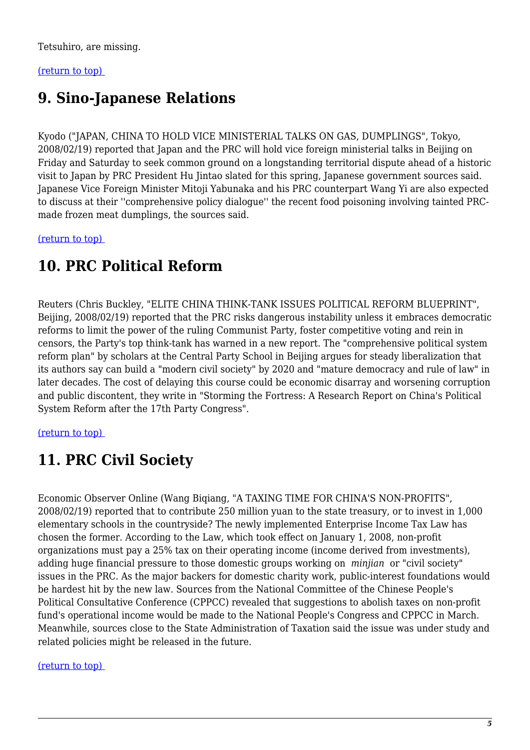Tetsuhiro, are missing.

#### <span id="page-4-0"></span>[\(return to top\)](#page-0-0)

## **9. Sino-Japanese Relations**

Kyodo ("JAPAN, CHINA TO HOLD VICE MINISTERIAL TALKS ON GAS, DUMPLINGS", Tokyo, 2008/02/19) reported that Japan and the PRC will hold vice foreign ministerial talks in Beijing on Friday and Saturday to seek common ground on a longstanding territorial dispute ahead of a historic visit to Japan by PRC President Hu Jintao slated for this spring, Japanese government sources said. Japanese Vice Foreign Minister Mitoji Yabunaka and his PRC counterpart Wang Yi are also expected to discuss at their ''comprehensive policy dialogue'' the recent food poisoning involving tainted PRCmade frozen meat dumplings, the sources said.

<span id="page-4-1"></span>[\(return to top\)](#page-0-0) 

### **10. PRC Political Reform**

Reuters (Chris Buckley, "ELITE CHINA THINK-TANK ISSUES POLITICAL REFORM BLUEPRINT", Beijing, 2008/02/19) reported that the PRC risks dangerous instability unless it embraces democratic reforms to limit the power of the ruling Communist Party, foster competitive voting and rein in censors, the Party's top think-tank has warned in a new report. The "comprehensive political system reform plan" by scholars at the Central Party School in Beijing argues for steady liberalization that its authors say can build a "modern civil society" by 2020 and "mature democracy and rule of law" in later decades. The cost of delaying this course could be economic disarray and worsening corruption and public discontent, they write in "Storming the Fortress: A Research Report on China's Political System Reform after the 17th Party Congress".

<span id="page-4-2"></span>[\(return to top\)](#page-0-0) 

# **11. PRC Civil Society**

Economic Observer Online (Wang Biqiang, "A TAXING TIME FOR CHINA'S NON-PROFITS", 2008/02/19) reported that to contribute 250 million yuan to the state treasury, or to invest in 1,000 elementary schools in the countryside? The newly implemented Enterprise Income Tax Law has chosen the former. According to the Law, which took effect on January 1, 2008, non-profit organizations must pay a 25% tax on their operating income (income derived from investments), adding huge financial pressure to those domestic groups working on *minjian* or "civil society" issues in the PRC. As the major backers for domestic charity work, public-interest foundations would be hardest hit by the new law. Sources from the National Committee of the Chinese People's Political Consultative Conference (CPPCC) revealed that suggestions to abolish taxes on non-profit fund's operational income would be made to the National People's Congress and CPPCC in March. Meanwhile, sources close to the State Administration of Taxation said the issue was under study and related policies might be released in the future.

<span id="page-4-3"></span>[\(return to top\)](#page-0-0)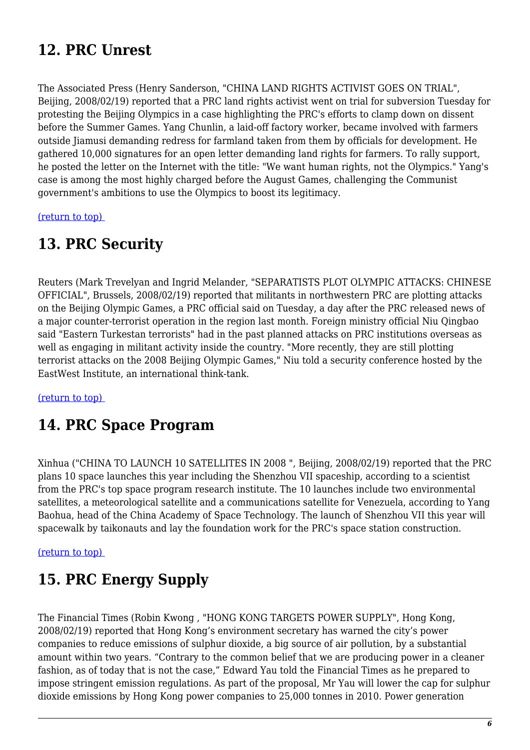# **12. PRC Unrest**

The Associated Press (Henry Sanderson, "CHINA LAND RIGHTS ACTIVIST GOES ON TRIAL", Beijing, 2008/02/19) reported that a PRC land rights activist went on trial for subversion Tuesday for protesting the Beijing Olympics in a case highlighting the PRC's efforts to clamp down on dissent before the Summer Games. Yang Chunlin, a laid-off factory worker, became involved with farmers outside Jiamusi demanding redress for farmland taken from them by officials for development. He gathered 10,000 signatures for an open letter demanding land rights for farmers. To rally support, he posted the letter on the Internet with the title: "We want human rights, not the Olympics." Yang's case is among the most highly charged before the August Games, challenging the Communist government's ambitions to use the Olympics to boost its legitimacy.

<span id="page-5-0"></span>[\(return to top\)](#page-0-0) 

### **13. PRC Security**

Reuters (Mark Trevelyan and Ingrid Melander, "SEPARATISTS PLOT OLYMPIC ATTACKS: CHINESE OFFICIAL", Brussels, 2008/02/19) reported that militants in northwestern PRC are plotting attacks on the Beijing Olympic Games, a PRC official said on Tuesday, a day after the PRC released news of a major counter-terrorist operation in the region last month. Foreign ministry official Niu Qingbao said "Eastern Turkestan terrorists" had in the past planned attacks on PRC institutions overseas as well as engaging in militant activity inside the country. "More recently, they are still plotting terrorist attacks on the 2008 Beijing Olympic Games," Niu told a security conference hosted by the EastWest Institute, an international think-tank.

<span id="page-5-1"></span>[\(return to top\)](#page-0-0) 

### **14. PRC Space Program**

Xinhua ("CHINA TO LAUNCH 10 SATELLITES IN 2008 ", Beijing, 2008/02/19) reported that the PRC plans 10 space launches this year including the Shenzhou VII spaceship, according to a scientist from the PRC's top space program research institute. The 10 launches include two environmental satellites, a meteorological satellite and a communications satellite for Venezuela, according to Yang Baohua, head of the China Academy of Space Technology. The launch of Shenzhou VII this year will spacewalk by taikonauts and lay the foundation work for the PRC's space station construction.

#### <span id="page-5-2"></span>[\(return to top\)](#page-0-0)

### **15. PRC Energy Supply**

The Financial Times (Robin Kwong , "HONG KONG TARGETS POWER SUPPLY", Hong Kong, 2008/02/19) reported that Hong Kong's environment secretary has warned the city's power companies to reduce emissions of sulphur dioxide, a big source of air pollution, by a substantial amount within two years. "Contrary to the common belief that we are producing power in a cleaner fashion, as of today that is not the case," Edward Yau told the Financial Times as he prepared to impose stringent emission regulations. As part of the proposal, Mr Yau will lower the cap for sulphur dioxide emissions by Hong Kong power companies to 25,000 tonnes in 2010. Power generation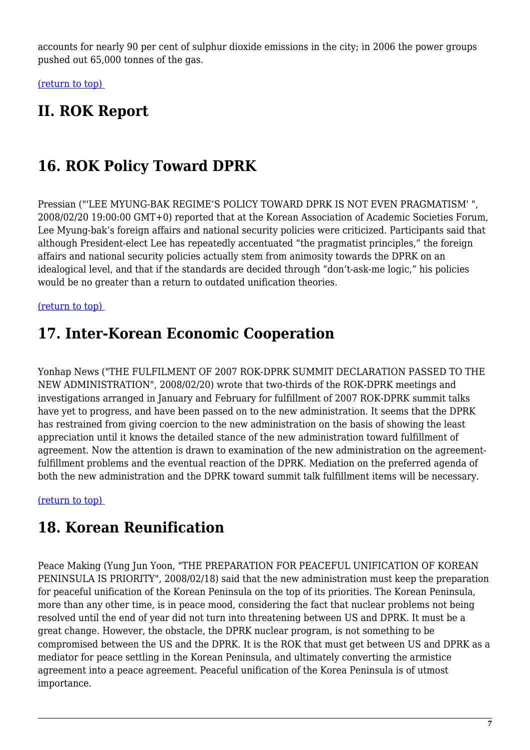accounts for nearly 90 per cent of sulphur dioxide emissions in the city; in 2006 the power groups pushed out 65,000 tonnes of the gas.

[\(return to top\)](#page-0-0) 

### **II. ROK Report**

## <span id="page-6-0"></span>**16. ROK Policy Toward DPRK**

Pressian ("'LEE MYUNG-BAK REGIME'S POLICY TOWARD DPRK IS NOT EVEN PRAGMATISM' ", 2008/02/20 19:00:00 GMT+0) reported that at the Korean Association of Academic Societies Forum, Lee Myung-bak's foreign affairs and national security policies were criticized. Participants said that although President-elect Lee has repeatedly accentuated "the pragmatist principles," the foreign affairs and national security policies actually stem from animosity towards the DPRK on an idealogical level, and that if the standards are decided through "don't-ask-me logic," his policies would be no greater than a return to outdated unification theories.

<span id="page-6-1"></span>[\(return to top\)](#page-0-0) 

### **17. Inter-Korean Economic Cooperation**

Yonhap News ("THE FULFILMENT OF 2007 ROK-DPRK SUMMIT DECLARATION PASSED TO THE NEW ADMINISTRATION", 2008/02/20) wrote that two-thirds of the ROK-DPRK meetings and investigations arranged in January and February for fulfillment of 2007 ROK-DPRK summit talks have yet to progress, and have been passed on to the new administration. It seems that the DPRK has restrained from giving coercion to the new administration on the basis of showing the least appreciation until it knows the detailed stance of the new administration toward fulfillment of agreement. Now the attention is drawn to examination of the new administration on the agreementfulfillment problems and the eventual reaction of the DPRK. Mediation on the preferred agenda of both the new administration and the DPRK toward summit talk fulfillment items will be necessary.

<span id="page-6-2"></span>[\(return to top\)](#page-0-0) 

# **18. Korean Reunification**

Peace Making (Yung Jun Yoon, "THE PREPARATION FOR PEACEFUL UNIFICATION OF KOREAN PENINSULA IS PRIORITY", 2008/02/18) said that the new administration must keep the preparation for peaceful unification of the Korean Peninsula on the top of its priorities. The Korean Peninsula, more than any other time, is in peace mood, considering the fact that nuclear problems not being resolved until the end of year did not turn into threatening between US and DPRK. It must be a great change. However, the obstacle, the DPRK nuclear program, is not something to be compromised between the US and the DPRK. It is the ROK that must get between US and DPRK as a mediator for peace settling in the Korean Peninsula, and ultimately converting the armistice agreement into a peace agreement. Peaceful unification of the Korea Peninsula is of utmost importance.